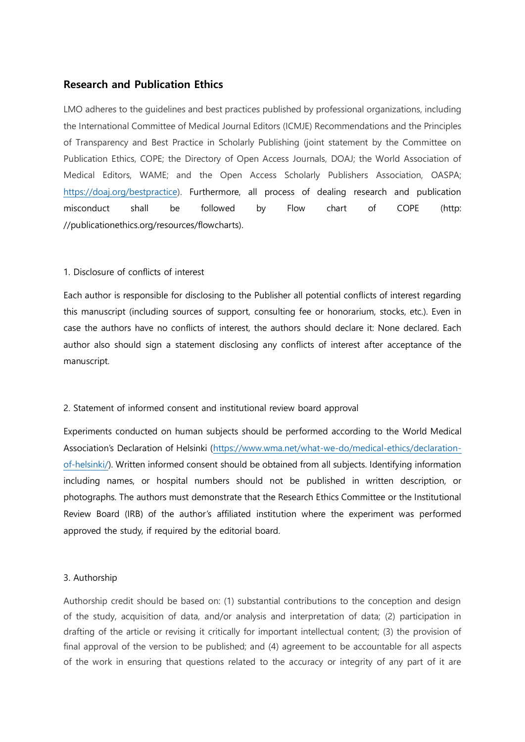# **Research and Publication Ethics**

LMO adheres to the guidelines and best practices published by professional organizations, including the International Committee of Medical Journal Editors (ICMJE) Recommendations and the Principles of Transparency and Best Practice in Scholarly Publishing (joint statement by the Committee on Publication Ethics, COPE; the Directory of Open Access Journals, DOAJ; the World Association of Medical Editors, WAME; and the Open Access Scholarly Publishers Association, OASPA; [https://doaj.org/bestpractice\)](https://doaj.org/bestpractice). Furthermore, all process of dealing research and publication misconduct shall be followed by Flow chart of COPE (http: //publicationethics.org/resources/flowcharts).

## 1. Disclosure of conflicts of interest

Each author is responsible for disclosing to the Publisher all potential conflicts of interest regarding this manuscript (including sources of support, consulting fee or honorarium, stocks, etc.). Even in case the authors have no conflicts of interest, the authors should declare it: None declared. Each author also should sign a statement disclosing any conflicts of interest after acceptance of the manuscript.

## 2. Statement of informed consent and institutional review board approval

Experiments conducted on human subjects should be performed according to the World Medical Association's Declaration of Helsinki [\(https://www.wma.net/what-we-do/medical-ethics/declaration](https://www.wma.net/what-we-do/medical-ethics/declaration-of-helsinki)[of-helsinki/\)](https://www.wma.net/what-we-do/medical-ethics/declaration-of-helsinki). Written informed consent should be obtained from all subjects. Identifying information including names, or hospital numbers should not be published in written description, or photographs. The authors must demonstrate that the Research Ethics Committee or the Institutional Review Board (IRB) of the author's affiliated institution where the experiment was performed approved the study, if required by the editorial board.

#### 3. Authorship

Authorship credit should be based on: (1) substantial contributions to the conception and design of the study, acquisition of data, and/or analysis and interpretation of data; (2) participation in drafting of the article or revising it critically for important intellectual content; (3) the provision of final approval of the version to be published; and (4) agreement to be accountable for all aspects of the work in ensuring that questions related to the accuracy or integrity of any part of it are